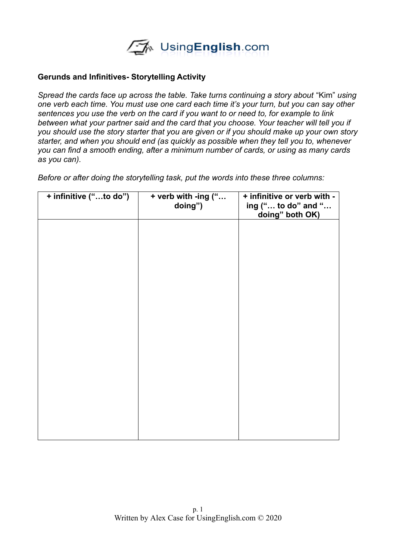

## **Gerunds and Infinitives- Storytelling Activity**

*Spread the cards face up across the table. Take turns continuing a story about* "Kim" *using one verb each time. You must use one card each time it's your turn, but you can say other sentences you use the verb on the card if you want to or need to, for example to link between what your partner said and the card that you choose. Your teacher will tell you if you should use the story starter that you are given or if you should make up your own story starter, and when you should end (as quickly as possible when they tell you to, whenever you can find a smooth ending, after a minimum number of cards, or using as many cards as you can).* 

*Before or after doing the storytelling task, put the words into these three columns:*

| + infinitive ("to do") | + verb with -ing ("<br>doing") | + infinitive or verb with -<br>ing (" to do" and "<br>doing" both OK) |
|------------------------|--------------------------------|-----------------------------------------------------------------------|
|                        |                                |                                                                       |
|                        |                                |                                                                       |
|                        |                                |                                                                       |
|                        |                                |                                                                       |
|                        |                                |                                                                       |
|                        |                                |                                                                       |
|                        |                                |                                                                       |
|                        |                                |                                                                       |